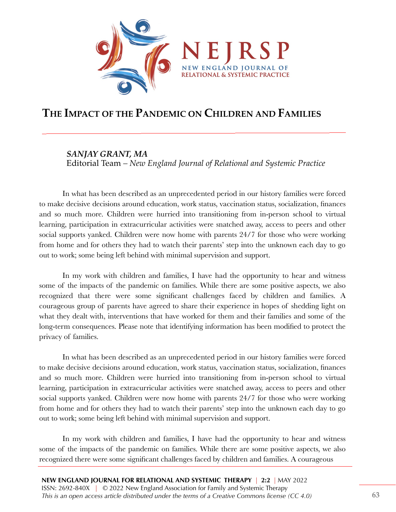

# **THE IMPACT OF THE PANDEMIC ON CHILDREN AND FAMILIES**

# *SANJAY GRANT, MA*

Editorial Team *– New England Journal of Relational and Systemic Practice*

In what has been described as an unprecedented period in our history families were forced to make decisive decisions around education, work status, vaccination status, socialization, finances and so much more. Children were hurried into transitioning from in-person school to virtual learning, participation in extracurricular activities were snatched away, access to peers and other social supports yanked. Children were now home with parents 24/7 for those who were working from home and for others they had to watch their parents' step into the unknown each day to go out to work; some being left behind with minimal supervision and support.

In my work with children and families, I have had the opportunity to hear and witness some of the impacts of the pandemic on families. While there are some positive aspects, we also recognized that there were some significant challenges faced by children and families. A courageous group of parents have agreed to share their experience in hopes of shedding light on what they dealt with, interventions that have worked for them and their families and some of the long-term consequences. Please note that identifying information has been modified to protect the privacy of families.

In what has been described as an unprecedented period in our history families were forced to make decisive decisions around education, work status, vaccination status, socialization, finances and so much more. Children were hurried into transitioning from in-person school to virtual learning, participation in extracurricular activities were snatched away, access to peers and other social supports yanked. Children were now home with parents 24/7 for those who were working from home and for others they had to watch their parents' step into the unknown each day to go out to work; some being left behind with minimal supervision and support.

In my work with children and families, I have had the opportunity to hear and witness some of the impacts of the pandemic on families. While there are some positive aspects, we also recognized there were some significant challenges faced by children and families. A courageous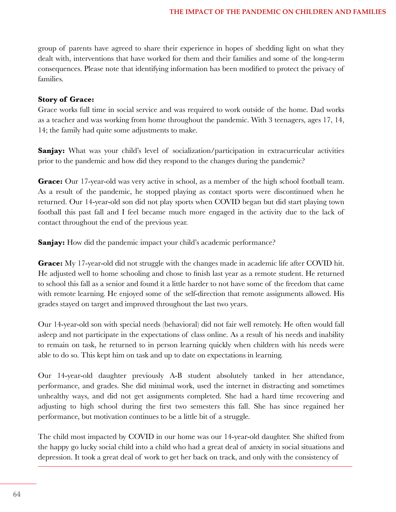group of parents have agreed to share their experience in hopes of shedding light on what they dealt with, interventions that have worked for them and their families and some of the long-term consequences. Please note that identifying information has been modified to protect the privacy of families.

## **Story of Grace:**

Grace works full time in social service and was required to work outside of the home. Dad works as a teacher and was working from home throughout the pandemic. With 3 teenagers, ages 17, 14, 14; the family had quite some adjustments to make.

**Sanjay:** What was your child's level of socialization/participation in extracurricular activities prior to the pandemic and how did they respond to the changes during the pandemic?

Grace: Our 17-year-old was very active in school, as a member of the high school football team. As a result of the pandemic, he stopped playing as contact sports were discontinued when he returned. Our 14-year-old son did not play sports when COVID began but did start playing town football this past fall and I feel became much more engaged in the activity due to the lack of contact throughout the end of the previous year.

**Sanjay:** How did the pandemic impact your child's academic performance?

**Grace:** My 17-year-old did not struggle with the changes made in academic life after COVID hit. He adjusted well to home schooling and chose to finish last year as a remote student. He returned to school this fall as a senior and found it a little harder to not have some of the freedom that came with remote learning. He enjoyed some of the self-direction that remote assignments allowed. His grades stayed on target and improved throughout the last two years.

Our 14-year-old son with special needs (behavioral) did not fair well remotely. He often would fall asleep and not participate in the expectations of class online. As a result of his needs and inability to remain on task, he returned to in person learning quickly when children with his needs were able to do so. This kept him on task and up to date on expectations in learning.

Our 14-year-old daughter previously A-B student absolutely tanked in her attendance, performance, and grades. She did minimal work, used the internet in distracting and sometimes unhealthy ways, and did not get assignments completed. She had a hard time recovering and adjusting to high school during the first two semesters this fall. She has since regained her performance, but motivation continues to be a little bit of a struggle.

The child most impacted by COVID in our home was our 14-year-old daughter. She shifted from the happy go lucky social child into a child who had a great deal of anxiety in social situations and depression. It took a great deal of work to get her back on track, and only with the consistency of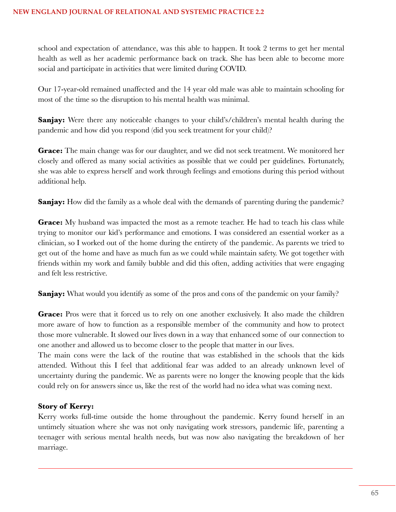school and expectation of attendance, was this able to happen. It took 2 terms to get her mental health as well as her academic performance back on track. She has been able to become more social and participate in activities that were limited during COVID.

Our 17-year-old remained unaffected and the 14 year old male was able to maintain schooling for most of the time so the disruption to his mental health was minimal.

**Sanjay:** Were there any noticeable changes to your child's/children's mental health during the pandemic and how did you respond (did you seek treatment for your child)?

**Grace:** The main change was for our daughter, and we did not seek treatment. We monitored her closely and offered as many social activities as possible that we could per guidelines. Fortunately, she was able to express herself and work through feelings and emotions during this period without additional help.

**Sanjay:** How did the family as a whole deal with the demands of parenting during the pandemic?

**Grace:** My husband was impacted the most as a remote teacher. He had to teach his class while trying to monitor our kid's performance and emotions. I was considered an essential worker as a clinician, so I worked out of the home during the entirety of the pandemic. As parents we tried to get out of the home and have as much fun as we could while maintain safety. We got together with friends within my work and family bubble and did this often, adding activities that were engaging and felt less restrictive.

**Sanjay:** What would you identify as some of the pros and cons of the pandemic on your family?

Grace: Pros were that it forced us to rely on one another exclusively. It also made the children more aware of how to function as a responsible member of the community and how to protect those more vulnerable. It slowed our lives down in a way that enhanced some of our connection to one another and allowed us to become closer to the people that matter in our lives.

The main cons were the lack of the routine that was established in the schools that the kids attended. Without this I feel that additional fear was added to an already unknown level of uncertainty during the pandemic. We as parents were no longer the knowing people that the kids could rely on for answers since us, like the rest of the world had no idea what was coming next.

# **Story of Kerry:**

Kerry works full-time outside the home throughout the pandemic. Kerry found herself in an untimely situation where she was not only navigating work stressors, pandemic life, parenting a teenager with serious mental health needs, but was now also navigating the breakdown of her marriage.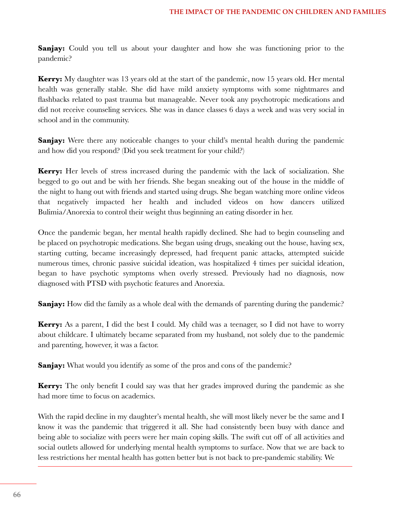**Sanjay:** Could you tell us about your daughter and how she was functioning prior to the pandemic?

**Kerry:** My daughter was 13 years old at the start of the pandemic, now 15 years old. Her mental health was generally stable. She did have mild anxiety symptoms with some nightmares and flashbacks related to past trauma but manageable. Never took any psychotropic medications and did not receive counseling services. She was in dance classes 6 days a week and was very social in school and in the community.

**Sanjay:** Were there any noticeable changes to your child's mental health during the pandemic and how did you respond? (Did you seek treatment for your child?)

**Kerry:** Her levels of stress increased during the pandemic with the lack of socialization. She begged to go out and be with her friends. She began sneaking out of the house in the middle of the night to hang out with friends and started using drugs. She began watching more online videos that negatively impacted her health and included videos on how dancers utilized Bulimia/Anorexia to control their weight thus beginning an eating disorder in her.

Once the pandemic began, her mental health rapidly declined. She had to begin counseling and be placed on psychotropic medications. She began using drugs, sneaking out the house, having sex, starting cutting, became increasingly depressed, had frequent panic attacks, attempted suicide numerous times, chronic passive suicidal ideation, was hospitalized 4 times per suicidal ideation, began to have psychotic symptoms when overly stressed. Previously had no diagnosis, now diagnosed with PTSD with psychotic features and Anorexia.

**Sanjay:** How did the family as a whole deal with the demands of parenting during the pandemic?

**Kerry:** As a parent, I did the best I could. My child was a teenager, so I did not have to worry about childcare. I ultimately became separated from my husband, not solely due to the pandemic and parenting, however, it was a factor.

**Sanjay:** What would you identify as some of the pros and cons of the pandemic?

**Kerry:** The only benefit I could say was that her grades improved during the pandemic as she had more time to focus on academics.

With the rapid decline in my daughter's mental health, she will most likely never be the same and I know it was the pandemic that triggered it all. She had consistently been busy with dance and being able to socialize with peers were her main coping skills. The swift cut off of all activities and social outlets allowed for underlying mental health symptoms to surface. Now that we are back to less restrictions her mental health has gotten better but is not back to pre-pandemic stability. We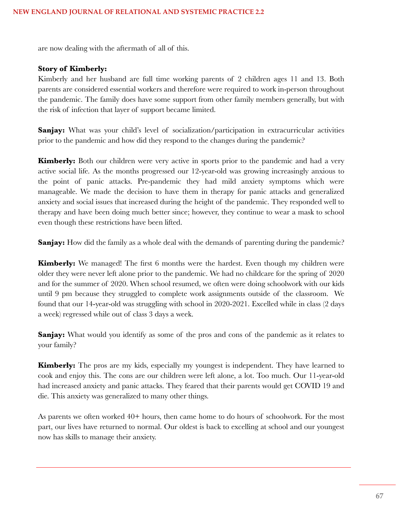are now dealing with the aftermath of all of this.

### **Story of Kimberly:**

Kimberly and her husband are full time working parents of 2 children ages 11 and 13. Both parents are considered essential workers and therefore were required to work in-person throughout the pandemic. The family does have some support from other family members generally, but with the risk of infection that layer of support became limited.

**Sanjay:** What was your child's level of socialization/participation in extracurricular activities prior to the pandemic and how did they respond to the changes during the pandemic?

**Kimberly:** Both our children were very active in sports prior to the pandemic and had a very active social life. As the months progressed our 12-year-old was growing increasingly anxious to the point of panic attacks. Pre-pandemic they had mild anxiety symptoms which were manageable. We made the decision to have them in therapy for panic attacks and generalized anxiety and social issues that increased during the height of the pandemic. They responded well to therapy and have been doing much better since; however, they continue to wear a mask to school even though these restrictions have been lifted.

**Sanjay:** How did the family as a whole deal with the demands of parenting during the pandemic?

**Kimberly:** We managed! The first 6 months were the hardest. Even though my children were older they were never left alone prior to the pandemic. We had no childcare for the spring of 2020 and for the summer of 2020. When school resumed, we often were doing schoolwork with our kids until 9 pm because they struggled to complete work assignments outside of the classroom. We found that our 14-year-old was struggling with school in 2020-2021. Excelled while in class (2 days a week) regressed while out of class 3 days a week.

**Sanjay:** What would you identify as some of the pros and cons of the pandemic as it relates to your family?

**Kimberly:** The pros are my kids, especially my youngest is independent. They have learned to cook and enjoy this. The cons are our children were left alone, a lot. Too much. Our 11-year-old had increased anxiety and panic attacks. They feared that their parents would get COVID 19 and die. This anxiety was generalized to many other things.

As parents we often worked 40+ hours, then came home to do hours of schoolwork. For the most part, our lives have returned to normal. Our oldest is back to excelling at school and our youngest now has skills to manage their anxiety.